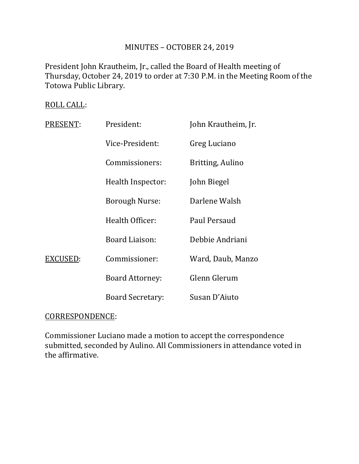# MINUTES – OCTOBER 24, 2019

President John Krautheim, Jr., called the Board of Health meeting of Thursday, October 24, 2019 to order at 7:30 P.M. in the Meeting Room of the Totowa Public Library.

## ROLL CALL:

| PRESENT: | President:              | John Krautheim, Jr. |
|----------|-------------------------|---------------------|
|          | Vice-President:         | Greg Luciano        |
|          | Commissioners:          | Britting, Aulino    |
|          | Health Inspector:       | John Biegel         |
|          | <b>Borough Nurse:</b>   | Darlene Walsh       |
|          | Health Officer:         | Paul Persaud        |
|          | <b>Board Liaison:</b>   | Debbie Andriani     |
| EXCUSED: | Commissioner:           | Ward, Daub, Manzo   |
|          | <b>Board Attorney:</b>  | Glenn Glerum        |
|          | <b>Board Secretary:</b> | Susan D'Aiuto       |

## CORRESPONDENCE:

Commissioner Luciano made a motion to accept the correspondence submitted, seconded by Aulino. All Commissioners in attendance voted in the affirmative.